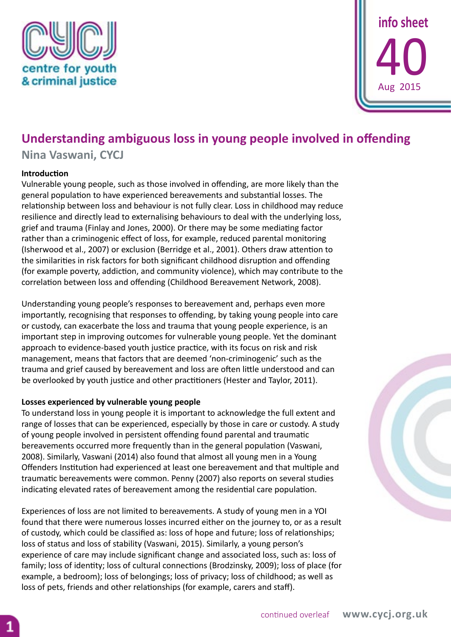



# **Understanding ambiguous loss in young people involved in offending**

**Nina Vaswani, CYCJ**

## **Introduction**

Vulnerable young people, such as those involved in offending, are more likely than the general population to have experienced bereavements and substantial losses. The relationship between loss and behaviour is not fully clear. Loss in childhood may reduce resilience and directly lead to externalising behaviours to deal with the underlying loss, grief and trauma (Finlay and Jones, 2000). Or there may be some mediating factor rather than a criminogenic effect of loss, for example, reduced parental monitoring (Isherwood et al., 2007) or exclusion (Berridge et al., 2001). Others draw attention to the similarities in risk factors for both significant childhood disruption and offending (for example poverty, addiction, and community violence), which may contribute to the correlation between loss and offending (Childhood Bereavement Network, 2008).

Understanding young people's responses to bereavement and, perhaps even more importantly, recognising that responses to offending, by taking young people into care or custody, can exacerbate the loss and trauma that young people experience, is an important step in improving outcomes for vulnerable young people. Yet the dominant approach to evidence-based youth justice practice, with its focus on risk and risk management, means that factors that are deemed 'non-criminogenic' such as the trauma and grief caused by bereavement and loss are often little understood and can be overlooked by youth justice and other practitioners (Hester and Taylor, 2011).

## **Losses experienced by vulnerable young people**

To understand loss in young people it is important to acknowledge the full extent and range of losses that can be experienced, especially by those in care or custody. A study of young people involved in persistent offending found parental and traumatic bereavements occurred more frequently than in the general population (Vaswani, 2008). Similarly, Vaswani (2014) also found that almost all young men in a Young Offenders Institution had experienced at least one bereavement and that multiple and traumatic bereavements were common. Penny (2007) also reports on several studies indicating elevated rates of bereavement among the residential care population.

Experiences of loss are not limited to bereavements. A study of young men in a YOI found that there were numerous losses incurred either on the journey to, or as a result of custody, which could be classified as: loss of hope and future; loss of relationships; loss of status and loss of stability (Vaswani, 2015). Similarly, a young person's experience of care may include significant change and associated loss, such as: loss of family; loss of identity; loss of cultural connections (Brodzinsky, 2009); loss of place (for example, a bedroom); loss of belongings; loss of privacy; loss of childhood; as well as loss of pets, friends and other relationships (for example, carers and staff).